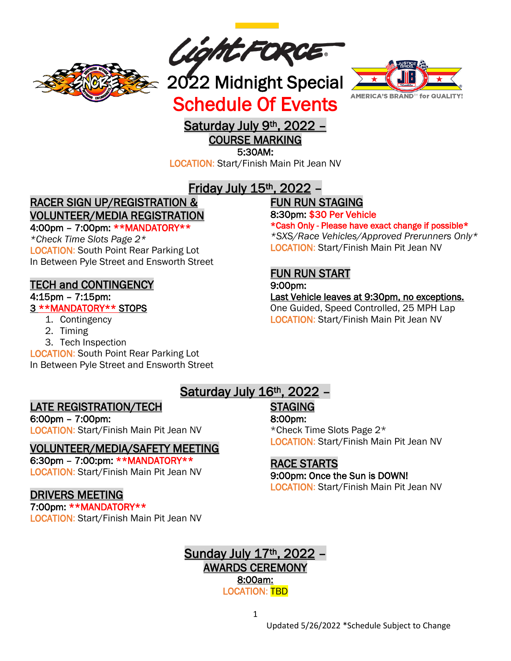

*Light FORCE*<br>2022 Midnight Special

Schedule Of Events



# Saturday July 9<sup>th</sup>, 2022 -

COURSE MARKING

5:30AM:

LOCATION: Start/Finish Main Pit Jean NV

## Friday July 15th, 2022 –

## RACER SIGN UP/REGISTRATION & VOLUNTEER/MEDIA REGISTRATION

#### 4:00pm – 7:00pm: \*\*MANDATORY\*\*

*\*Check Time Slots Page 2\** LOCATION: South Point Rear Parking Lot In Between Pyle Street and Ensworth Street

#### TECH and CONTINGENCY

#### 4:15pm – 7:15pm:

#### 3 \*\*MANDATORY\*\* STOPS

- 1. Contingency
- 2. Timing
- 3. Tech Inspection

LOCATION: South Point Rear Parking Lot In Between Pyle Street and Ensworth Street

# FUN RUN STAGING

8:30pm: \$30 Per Vehicle

\*Cash Only - Please have exact change if possible\* *\*SXS/Race Vehicles/Approved Prerunners Only\** LOCATION: Start/Finish Main Pit Jean NV

## FUN RUN START

9:00pm:

Last Vehicle leaves at 9:30pm, no exceptions. One Guided, Speed Controlled, 25 MPH Lap LOCATION: Start/Finish Main Pit Jean NV

#### LATE REGISTRATION/TECH

6:00pm – 7:00pm: LOCATION: Start/Finish Main Pit Jean NV

#### VOLUNTEER/MEDIA/SAFETY MEETING

6:30pm – 7:00:pm: \*\*MANDATORY\*\* LOCATION: Start/Finish Main Pit Jean NV

#### DRIVERS MEETING

7:00pm: \*\*MANDATORY\*\* LOCATION: Start/Finish Main Pit Jean NV

# STAGING

8:00pm:

\*Check Time Slots Page 2\* LOCATION: Start/Finish Main Pit Jean NV

## RACE STARTS

#### 9:00pm: Once the Sun is DOWN!

LOCATION: Start/Finish Main Pit Jean NV



Saturday July 16<sup>th</sup>, 2022 -